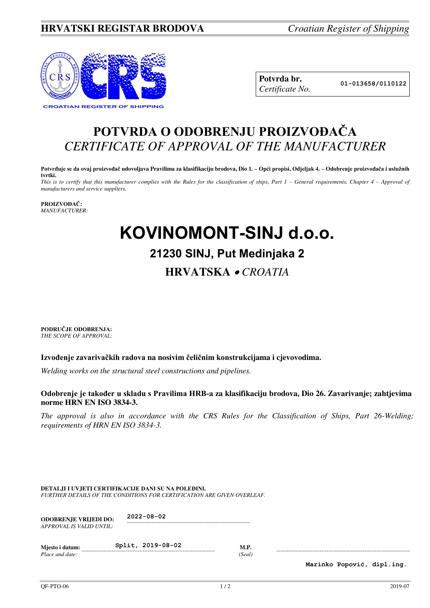### **HRVATSKI REGISTAR BRODOVA** *Croatian Register of Shipping*



**Potvrda br. 01-013658/0110122** *Certificate No.* 

## **POTVRDA O ODOBRENJU PROIZVOĐAČA** *CERTIFICATE OF APPROVAL OF THE MANUFACTURER*

**Potvrđuje se da ovaj proizvođač udovoljava Pravilima za klasifikaciju brodova, Dio 1. – Opći propisi, Odjeljak 4. – Odobrenje proizvođača i uslužnih tvrtki.** 

*This is to certify that this manufacturer complies with the Rules for the classification of ships, Part 1 – General requirements, Chapter 4 – Approval of manufacturers and service suppliers.* 

#### **PROIZVOĐAČ:** *MANUFACTURER:*

# **KOVINOMONT-SINJ d.o.o.**

### **21230 SINJ, Put Medinjaka 2**

### **HRVATSKA**  *CROATIA*

**PODRUČJE ODOBRENJA:** *THE SCOPE OF APPROVAL:* 

#### **Izvođenje zavarivačkih radova na nosivim čeličnim konstrukcijama i cjevovodima.**

*Welding works on the structural steel constructions and pipelines.* 

#### **Odobrenje je također u skladu s Pravilima HRB-a za klasifikaciju brodova, Dio 26. Zavarivanje; zahtjevima norme HRN EN ISO 3834-3.**

*The approval is also in accordance with the CRS Rules for the Classification of Ships, Part 26-Welding; requirements of HRN EN ISO 3834-3.* 

**DETALJI I UVJETI CERTIFIKACIJE DANI SU NA POLEĐINI.** *FURTHER DETAILS OF THE CONDITIONS FOR CERTIFICATION ARE GIVEN OVERLEAF.* 

| <b>ODOBRENJE VRLIEDI DO:</b> | $2022 - 08 - 02$ |
|------------------------------|------------------|
| APPROVAL IS VALID UNTIL:     |                  |

| Miesto i datum: | Split, 2019-08-02 |       |
|-----------------|-------------------|-------|
| Place and date: |                   | Seal) |

**Marinko Popović, dipl.ing.**